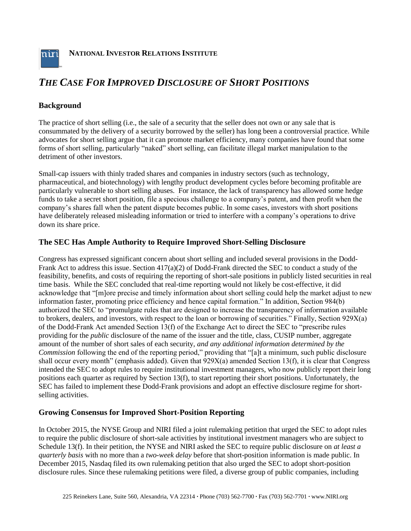

**NATIONAL INVESTOR RELATIONS INSTITUTE**

# *THE CASE FOR IMPROVED DISCLOSURE OF SHORT POSITIONS*

### **Background**

The practice of short selling (i.e., the sale of a security that the seller does not own or any sale that is consummated by the delivery of a security borrowed by the seller) has long been a controversial practice. While advocates for short selling argue that it can promote market efficiency, many companies have found that some forms of short selling, particularly "naked" short selling, can facilitate illegal market manipulation to the detriment of other investors.

Small-cap issuers with thinly traded shares and companies in industry sectors (such as technology, pharmaceutical, and biotechnology) with lengthy product development cycles before becoming profitable are particularly vulnerable to short selling abuses. For instance, the lack of transparency has allowed some hedge funds to take a secret short position, file a specious challenge to a company's patent, and then profit when the company's shares fall when the patent dispute becomes public. In some cases, investors with short positions have deliberately released misleading information or tried to interfere with a company's operations to drive down its share price.

#### **The SEC Has Ample Authority to Require Improved Short-Selling Disclosure**

Congress has expressed significant concern about short selling and included several provisions in the Dodd-Frank Act to address this issue. Section 417(a)(2) of Dodd-Frank directed the SEC to conduct a study of the feasibility, benefits, and costs of requiring the reporting of short-sale positions in publicly listed securities in real time basis. While the SEC concluded that real-time reporting would not likely be cost-effective, it did acknowledge that "[m]ore precise and timely information about short selling could help the market adjust to new information faster, promoting price efficiency and hence capital formation." In addition, Section 984(b) authorized the SEC to "promulgate rules that are designed to increase the transparency of information available to brokers, dealers, and investors, with respect to the loan or borrowing of securities." Finally, Section 929X(a) of the Dodd-Frank Act amended Section 13(f) of the Exchange Act to direct the SEC to "prescribe rules providing for the *public* disclosure of the name of the issuer and the title, class, CUSIP number, aggregate amount of the number of short sales of each security, *and any additional information determined by the Commission* following the end of the reporting period," providing that "[a]t a minimum, such public disclosure shall occur every month" (emphasis added). Given that 929X(a) amended Section 13(f), it is clear that Congress intended the SEC to adopt rules to require institutional investment managers, who now publicly report their long positions each quarter as required by Section 13(f), to start reporting their short positions. Unfortunately, the SEC has failed to implement these Dodd-Frank provisions and adopt an effective disclosure regime for shortselling activities.

#### **Growing Consensus for Improved Short-Position Reporting**

In October 2015, the NYSE Group and NIRI filed a joint rulemaking petition that urged the SEC to adopt rules to require the public disclosure of short-sale activities by institutional investment managers who are subject to Schedule 13(f). In their petition, the NYSE and NIRI asked the SEC to require public disclosure on *at least a quarterly basis* with no more than a *two-week delay* before that short-position information is made public. In December 2015, Nasdaq filed its own rulemaking petition that also urged the SEC to adopt short-position disclosure rules. Since these rulemaking petitions were filed, a diverse group of public companies, including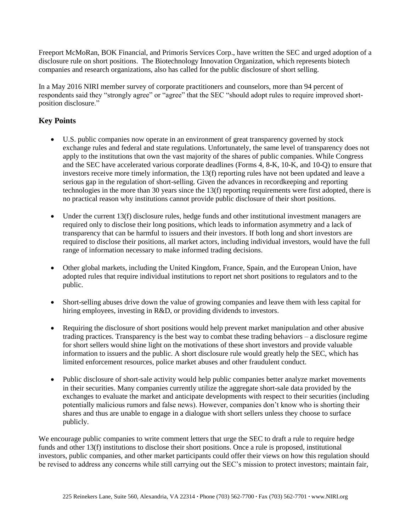Freeport McMoRan, BOK Financial, and Primoris Services Corp., have written the SEC and urged adoption of a disclosure rule on short positions. The Biotechnology Innovation Organization, which represents biotech companies and research organizations, also has called for the public disclosure of short selling.

In a May 2016 NIRI member survey of corporate practitioners and counselors, more than 94 percent of respondents said they "strongly agree" or "agree" that the SEC "should adopt rules to require improved shortposition disclosure."

## **Key Points**

- U.S. public companies now operate in an environment of great transparency governed by stock exchange rules and federal and state regulations. Unfortunately, the same level of transparency does not apply to the institutions that own the vast majority of the shares of public companies. While Congress and the SEC have accelerated various corporate deadlines (Forms 4, 8-K, 10-K, and 10-Q) to ensure that investors receive more timely information, the 13(f) reporting rules have not been updated and leave a serious gap in the regulation of short-selling. Given the advances in recordkeeping and reporting technologies in the more than 30 years since the 13(f) reporting requirements were first adopted, there is no practical reason why institutions cannot provide public disclosure of their short positions.
- Under the current 13(f) disclosure rules, hedge funds and other institutional investment managers are required only to disclose their long positions, which leads to information asymmetry and a lack of transparency that can be harmful to issuers and their investors. If both long and short investors are required to disclose their positions, all market actors, including individual investors, would have the full range of information necessary to make informed trading decisions.
- Other global markets, including the United Kingdom, France, Spain, and the European Union, have adopted rules that require individual institutions to report net short positions to regulators and to the public.
- Short-selling abuses drive down the value of growing companies and leave them with less capital for hiring employees, investing in R&D, or providing dividends to investors.
- Requiring the disclosure of short positions would help prevent market manipulation and other abusive trading practices. Transparency is the best way to combat these trading behaviors – a disclosure regime for short sellers would shine light on the motivations of these short investors and provide valuable information to issuers and the public. A short disclosure rule would greatly help the SEC, which has limited enforcement resources, police market abuses and other fraudulent conduct.
- Public disclosure of short-sale activity would help public companies better analyze market movements in their securities. Many companies currently utilize the aggregate short-sale data provided by the exchanges to evaluate the market and anticipate developments with respect to their securities (including potentially malicious rumors and false news). However, companies don't know who is shorting their shares and thus are unable to engage in a dialogue with short sellers unless they choose to surface publicly.

We encourage public companies to write comment letters that urge the SEC to draft a rule to require hedge funds and other 13(f) institutions to disclose their short positions. Once a rule is proposed, institutional investors, public companies, and other market participants could offer their views on how this regulation should be revised to address any concerns while still carrying out the SEC's mission to protect investors; maintain fair,